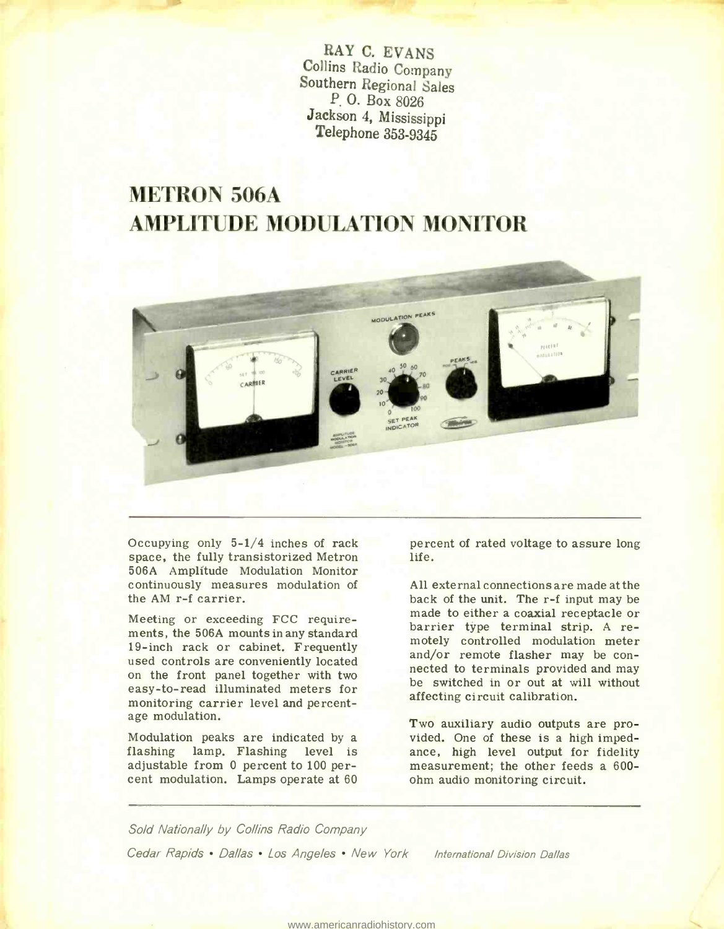RAY C. EVANS<br>Collins Radio Company Southern Regional Sales P. 0. Box 8026 Jackson 4, Mississippi Telephone 353 -9345

## METRON 506A AMPLITUDE MODULATION MONITOR



Occupying only  $5-1/4$  inches of rack space, the fully transistorized Metron 506A Amplitude Modulation Monitor continuously measures modulation of the AM r-f carrier.

Meeting or exceeding FCC requirements, the 506A mounts in any standard 19-inch rack or cabinet. Frequently used controls are conveniently located on the front panel together with two easy-to-read illuminated meters for monitoring carrier level and percentage modulation.

Modulation peaks are indicated by a<br>flashing lamp, Flashing level is lamp. Flashing level is adjustable from 0 percent to 100 percent modulation. Lamps operate at 60

percent of rated voltage to assure long life.

All external connections are made at the back of the unit. The r-f input may be made to either a coaxial receptacle or barrier type terminal strip. A remotely controlled modulation meter and/or remote flasher may be connected to terminals provided and may be switched in or out at will without affecting circuit calibration.

Two auxiliary audio outputs are provided. One of these is a high impedance, high level output for fidelity measurement; the other feeds a 600ohm audio monitoring circuit.

Sold Nationally by Collins Radio Company Cedar Rapids • Dallas • Los Angeles • New York International Division Dallas